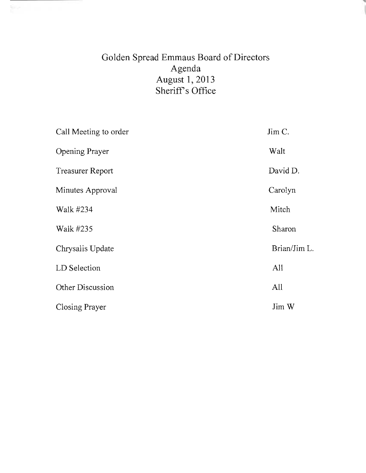# Golden Spread Emmaus Board of Directors Agenda August 1,2013 Sheriff's Office

| Call Meeting to order   | Jim C.       |  |  |  |
|-------------------------|--------------|--|--|--|
| <b>Opening Prayer</b>   | Walt         |  |  |  |
| <b>Treasurer Report</b> | David D.     |  |  |  |
| Minutes Approval        | Carolyn      |  |  |  |
| Walk #234               | Mitch        |  |  |  |
| Walk #235               | Sharon       |  |  |  |
| Chrysalis Update        | Brian/Jim L. |  |  |  |
| LD Selection            | All          |  |  |  |
| Other Discussion        | All          |  |  |  |
| Closing Prayer          | Jim W        |  |  |  |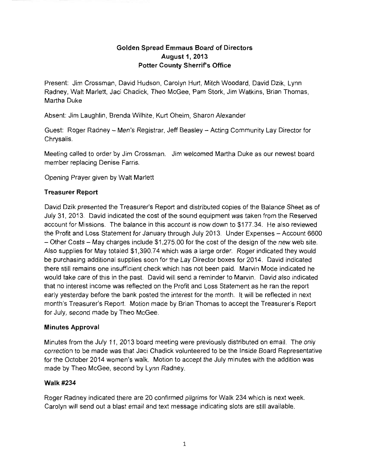## **Golden Spread Emmaus Board of Directors August 1, 2013 Potter County Sherrifs Office**

Present: Jim Crossman, David Hudson, Carolyn Hurt, Mitch Woodard, David Dzik, Lynn Radney, Walt Marlett, Jaci Chadick, Theo McGee, Pam Stork, Jim Watkins, Brian Thomas, Martha Duke

Absent: Jim Laughlin, Brenda Wilhite, Kurt Oheim, Sharon Alexander

Guest: Roger Radney - Men's Registrar, Jeff Beasley - Acting Community Lay Director for Chrysalis.

Meeting called to order by Jim Crossman. Jim welcomed Martha Duke as our newest board member replacing Denise Farris.

Opening Prayer given by Walt Marlett

## **Treasurer Report**

David Dzik presented the Treasurer's Report and distributed copies of the Balance Sheet as of July 31, 2013. David indicated the cost of the sound equipment was taken from the Reserved account for Missions. The balance in this account is now down to \$177.34. He also reviewed the Profit and Loss Statement for January through July 2013. Under Expenses - Account 6600  $-$  Other Costs  $-$  May charges include \$1,275.00 for the cost of the design of the new web site. Also supplies for May totaled \$1,390.74 which was a large order. Roger indicated they would be purchasing additional supplies soon for the Lay Director boxes for 2014. David indicated there still remains one insufficient check which has not been paid. Marvin Mode indicated he would take care of this in the past. David will send a reminder to Marvin. David also indicated that no interest income was reflected on the Profit and Loss Statement as he ran the report early yesterday before the bank posted the interest for the month. It will be reflected in next month's Treasurer's Report. Motion made by Brian Thomas to accept the Treasurer's Report for July, second made by Theo McGee.

## **Minutes Approval**

Minutes from the July 11, 2013 board meeting were previously distributed on email. The only correction to be made was that Jaci Chadick volunteered to be the Inside Board Representative for the October 2014 women's walk. Motion to accept the July minutes with the addition was made by Theo McGee, second by Lynn Radney.

## Walk #234

Roger Radney indicated there are 20 confirmed pilgrims for Walk 234 which is next week. Carolyn will send out a blast email and text message indicating slots are still available.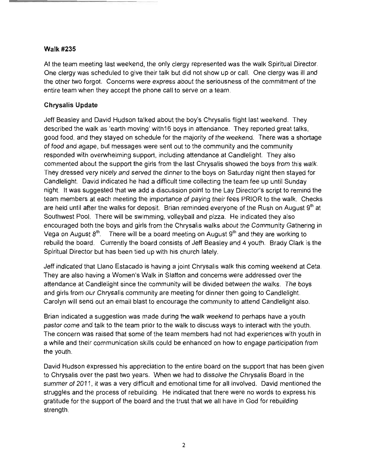#### Walk #235

At the team meeting last weekend, the only clergy represented was the walk Spiritual Director. One clergy was scheduled to give their talk but did not show up or call. One clergy was ill and the other two forgot. Concerns were express about the seriousness of the commitment of the entire team when they accept the phone call to serve on a team.

#### **Chrysalis Update**

Jeff Beasley and David Hudson talked about the boy's Chrysalis flight last weekend. They described the walk as 'earth moving' with16 boys in attendance. They reported great talks, good food, and they stayed on schedule for the majority of the weekend. There was a shortage of food and agape, but messages were sent out to the community and the community responded with overwhelming support, including attendance at Candlelight. They also commented about the support the girls from the last Chrysalis showed the boys from this walk. They dressed very nicely and served the dinner to the boys on Saturday night then stayed for Candlelight. David indicated he had a difficult time collecting the team fee up until Sunday night. It was suggested that we add a discussion point to the Lay Director's script to remind the team members at each meeting the importance of paying their fees PRIOR to the walk. Checks are held until after the walks for deposit. Brian reminded everyone of the Rush on August  $9<sup>th</sup>$  at Southwest Pool. There will be swimming, volleyball and pizza. He indicated they also encouraged both the boys and girls from the Chrysalis walks about the Community Gathering in Vega on August  $8<sup>th</sup>$ . There will be a board meeting on August  $9<sup>th</sup>$  and they are working to rebuild the board. Currently the board consists of Jeff Beasley and 4 youth. Brady Clark is the Spiritual Director but has been tied up with his church lately.

Jeff indicated that Llano Estacado is having a joint Chrysalis walk this coming weekend at Ceta. They are also having a Women's Walk in Slatton and concerns were addressed over the attendance at Candlelight since the community will be divided between the walks. The boys and girls from our Chrysalis community are meeting for dinner then going to Candlelight. Carolyn will send out an email blast to encourage the community to attend Candlelight also.

Brian indicated a suggestion was made during the walk weekend to perhaps have a youth pastor come and talk to the team prior to the walk to discuss ways to interact with the youth. The concern was raised that some of the team members had not had experiences with youth in a while and their communication skills could be enhanced on how to engage participation from the youth.

David Hudson expressed his appreciation to the entire board on the support that has been given to Chrysalis over the past two years. When we had to dissolve the Chrysalis Board in the summer of 2011, it was a very difficult and emotional time for all involved. David mentioned the struggles and the process of rebuilding. He indicated that there were no words to express his gratitude for the support of the board and the trust that we all have in God for rebuilding strength.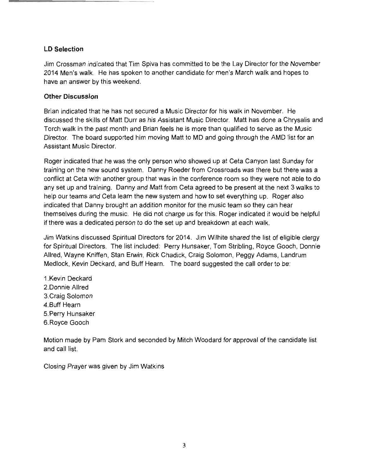#### **LD Selection**

Jim Crossman indicated that Tim Spiva has committed to be the Lay Director for the November 2014 Men's walk. He has spoken to another candidate for men's March walk and hopes to have an answer by this weekend.

#### **Other Discussion**

Brian indicated that he has not secured a Music Director for his walk in November. He discussed the skills of Matt Durr as his Assistant Music Director. Matt has done a Chrysalis and Torch walk in the past month and Brian feels he is more than qualified to serve as the Music Director. The board supported him moving Matt to MD and going through the AMD list for an Assistant Music Director.

Roger indicated that he was the only person who showed up at Ceta Canyon last Sunday for training on the new sound system. Danny Roeder from Crossroads was there but there was a conflict at Ceta with another group that was in the conference room so they were not able to do any set up and training. Danny and Matt from Ceta agreed to be present at the next 3 walks to help our teams and Ceta learn the new system and how to set everything up. Roger also indicated that Danny brought an addition monitor for the music team so they can hear themselves during the music. He did not charge us for this. Roger indicated it would be helpful if there was a dedicated person to do the set up and breakdown at each walk.

Jim Watkins discussed Spiritual Directors for 2014. Jim Wilhite shared the list of eligible clergy for Spiritual Directors. The list included: Perry Hunsaker, Tom Stribling, Royce Gooch, Donnie Allred, Wayne Kniffen, Stan Erwin, Rick Chadick, Craig Solomon, Peggy Adams, Landrum Medlock, Kevin Deckard, and Buff Hearn. The board suggested the call order to be:

1.Kevin Deckard 2.Donnie Allred 3.Craig Solomon 4.Buff Hearn 5.Perry Hunsaker 6. Royce Gooch

Motion made by Pam Stork and seconded by Mitch Woodard for approval of the candidate list and call list.

Closing Prayer was given by Jim Watkins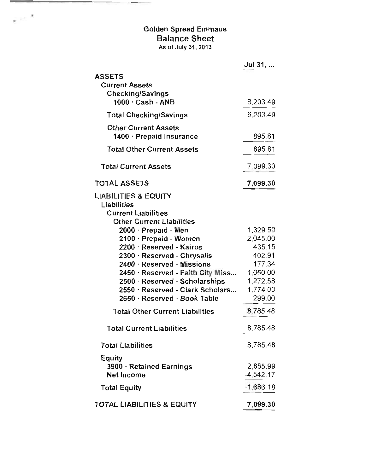## Golden Spread Emmaus Balance Sheet As of July 31, 2013

 $\epsilon \sim$ <sup>3</sup>

|                                                                                                                  | Jul 31,                        |
|------------------------------------------------------------------------------------------------------------------|--------------------------------|
| <b>ASSETS</b><br><b>Current Assets</b><br><b>Checking/Savings</b>                                                |                                |
| $1000 \cdot$ Cash - ANB                                                                                          | 6,203.49                       |
| <b>Total Checking/Savings</b>                                                                                    | 6,203.49                       |
| <b>Other Current Assets</b><br>1400 · Prepaid Insurance                                                          | 895.81                         |
| <b>Total Other Current Assets</b>                                                                                | 895.81                         |
| <b>Total Current Assets</b>                                                                                      | 7,099.30                       |
| <b>TOTAL ASSETS</b>                                                                                              | 7,099.30                       |
| <b>LIABILITIES &amp; EQUITY</b><br>Liabilities<br><b>Current Liabilities</b><br><b>Other Current Liabilities</b> |                                |
| 2000 · Prepaid - Men<br>2100 Prepaid - Women                                                                     | 1,329.50<br>2,045.00           |
| 2200 · Reserved - Kairos<br>2300 Reserved - Chrysalis                                                            | 435.15<br>402.91               |
| 2400 · Reserved - Missions<br>2450 · Reserved - Faith City Miss<br>2500 · Reserved - Scholarships                | 177.34<br>1,050.00<br>1,272.58 |
| 2550 · Reserved - Clark Scholars<br>2650 Reserved - Book Table                                                   | 1,774.00<br>299.00             |
| <b>Total Other Current Liabilities</b>                                                                           | 8,785.48                       |
| <b>Total Current Liabilities</b>                                                                                 | 8,785.48                       |
| <b>Total Liabilities</b>                                                                                         | 8,785.48                       |
| <b>Equity</b><br>3900 · Retained Earnings<br><b>Net Income</b>                                                   | 2,855.99<br>$-4,542.17$        |
| <b>Total Equity</b>                                                                                              | $-1,686.18$                    |
| <b>TOTAL LIABILITIES &amp; EQUITY</b>                                                                            | 7,099.30                       |